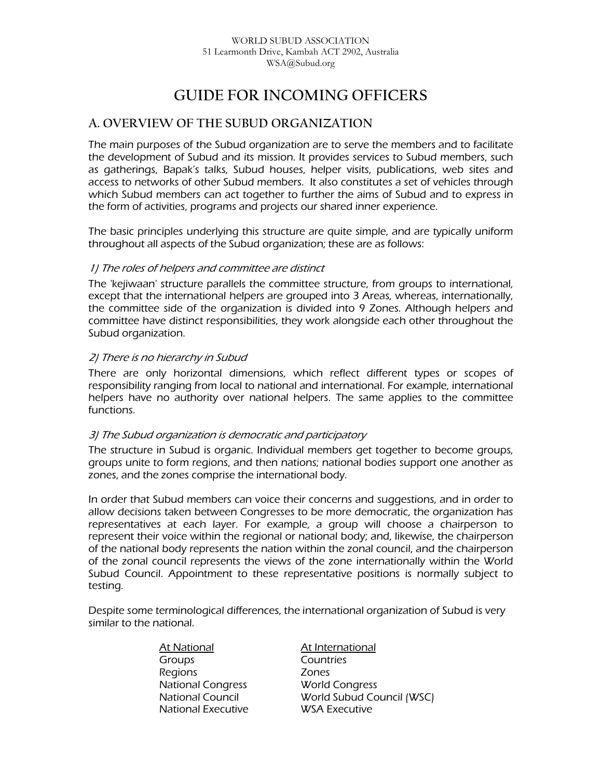# **GUIDE FOR INCOMING OFFICERS**

# **A. OVERVIEW OF THE SUBUD ORGANIZATION**

The main purposes of the Subud organization are to serve the members and to facilitate the development of Subud and its mission. It provides services to Subud members, such as gatherings, Bapak's talks, Subud houses, helper visits, publications, web sites and access to networks of other Subud members. It also constitutes a set of vehicles through which Subud members can act together to further the aims of Subud and to express in the form of activities, programs and projects our shared inner experience.

The basic principles underlying this structure are quite simple, and are typically uniform throughout all aspects of the Subud organization; these are as follows:

### 1) The roles of helpers and committee are distinct

The 'kejiwaan' structure parallels the committee structure, from groups to international, except that the international helpers are grouped into 3 Areas, whereas, internationally, the committee side of the organization is divided into 9 Zones. Although helpers and committee have distinct responsibilities, they work alongside each other throughout the Subud organization.

### 2) There is no hierarchy in Subud

There are only horizontal dimensions, which reflect different types or scopes of responsibility ranging from local to national and international. For example, international helpers have no authority over national helpers. The same applies to the committee functions.

#### 3) The Subud organization is democratic and participatory

The structure in Subud is organic. Individual members get together to become groups, groups unite to form regions, and then nations; national bodies support one another as zones, and the zones comprise the international body.

In order that Subud members can voice their concerns and suggestions, and in order to allow decisions taken between Congresses to be more democratic, the organization has representatives at each layer. For example, a group will choose a chairperson to represent their voice within the regional or national body; and, likewise, the chairperson of the national body represents the nation within the zonal council, and the chairperson of the zonal council represents the views of the zone internationally within the World Subud Council. Appointment to these representative positions is normally subject to testing.

Despite some terminological differences, the international organization of Subud is very similar to the national.

> At National At International Groups Countries Regions Zones National Congress World Congress National Executive WSA Executive

National Council World Subud Council (WSC)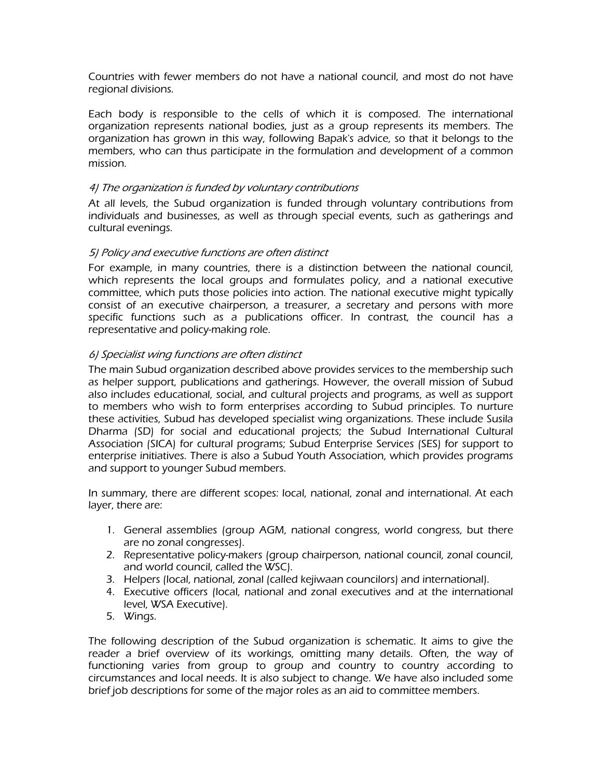Countries with fewer members do not have a national council, and most do not have regional divisions.

Each body is responsible to the cells of which it is composed. The international organization represents national bodies, just as a group represents its members. The organization has grown in this way, following Bapak's advice, so that it belongs to the members, who can thus participate in the formulation and development of a common mission.

### 4) The organization is funded by voluntary contributions

At all levels, the Subud organization is funded through voluntary contributions from individuals and businesses, as well as through special events, such as gatherings and cultural evenings.

### 5) Policy and executive functions are often distinct

For example, in many countries, there is a distinction between the national council, which represents the local groups and formulates policy, and a national executive committee, which puts those policies into action. The national executive might typically consist of an executive chairperson, a treasurer, a secretary and persons with more specific functions such as a publications officer. In contrast, the council has a representative and policy-making role.

### 6) Specialist wing functions are often distinct

The main Subud organization described above provides services to the membership such as helper support, publications and gatherings. However, the overall mission of Subud also includes educational, social, and cultural projects and programs, as well as support to members who wish to form enterprises according to Subud principles. To nurture these activities, Subud has developed specialist wing organizations. These include Susila Dharma (SD) for social and educational projects; the Subud International Cultural Association (SICA) for cultural programs; Subud Enterprise Services (SES) for support to enterprise initiatives. There is also a Subud Youth Association, which provides programs and support to younger Subud members.

In summary, there are different scopes: local, national, zonal and international. At each layer, there are:

- 1. General assemblies (group AGM, national congress, world congress, but there are no zonal congresses).
- 2. Representative policy-makers (group chairperson, national council, zonal council, and world council, called the WSC).
- 3. Helpers (local, national, zonal (called kejiwaan councilors) and international).
- 4. Executive officers (local, national and zonal executives and at the international level, WSA Executive).
- 5. Wings.

The following description of the Subud organization is schematic. It aims to give the reader a brief overview of its workings, omitting many details. Often, the way of functioning varies from group to group and country to country according to circumstances and local needs. It is also subject to change. We have also included some brief job descriptions for some of the major roles as an aid to committee members.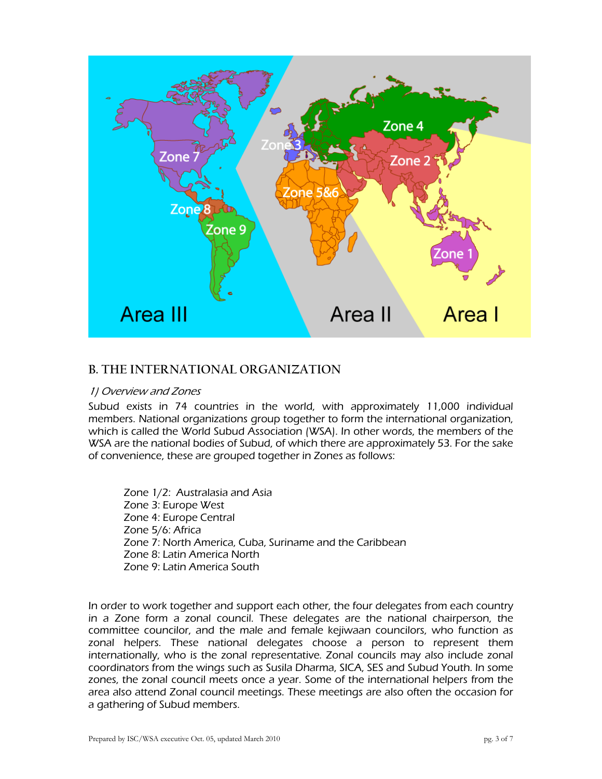

# **B. THE INTERNATIONAL ORGANIZATION**

#### 1) Overview and Zones

Subud exists in 74 countries in the world, with approximately 11,000 individual members. National organizations group together to form the international organization, which is called the World Subud Association (WSA). In other words, the members of the WSA are the national bodies of Subud, of which there are approximately 53. For the sake of convenience, these are grouped together in Zones as follows:

Zone 1/2: Australasia and Asia Zone 3: Europe West Zone 4: Europe Central Zone 5/6: Africa Zone 7: North America, Cuba, Suriname and the Caribbean Zone 8: Latin America North Zone 9: Latin America South

In order to work together and support each other, the four delegates from each country in a Zone form a zonal council. These delegates are the national chairperson, the committee councilor, and the male and female kejiwaan councilors, who function as zonal helpers. These national delegates choose a person to represent them internationally, who is the zonal representative. Zonal councils may also include zonal coordinators from the wings such as Susila Dharma, SICA, SES and Subud Youth. In some zones, the zonal council meets once a year. Some of the international helpers from the area also attend Zonal council meetings. These meetings are also often the occasion for a gathering of Subud members.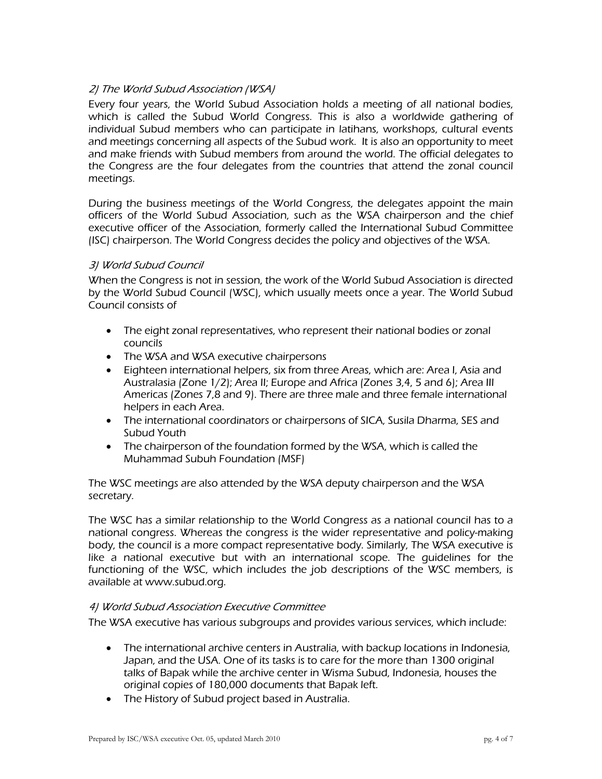### 2) The World Subud Association (WSA)

Every four years, the World Subud Association holds a meeting of all national bodies, which is called the Subud World Congress. This is also a worldwide gathering of individual Subud members who can participate in latihans, workshops, cultural events and meetings concerning all aspects of the Subud work. It is also an opportunity to meet and make friends with Subud members from around the world. The official delegates to the Congress are the four delegates from the countries that attend the zonal council meetings.

During the business meetings of the World Congress, the delegates appoint the main officers of the World Subud Association, such as the WSA chairperson and the chief executive officer of the Association, formerly called the International Subud Committee (ISC) chairperson. The World Congress decides the policy and objectives of the WSA.

### 3) World Subud Council

When the Congress is not in session, the work of the World Subud Association is directed by the World Subud Council (WSC), which usually meets once a year. The World Subud Council consists of

- The eight zonal representatives, who represent their national bodies or zonal councils
- The WSA and WSA executive chairpersons
- Eighteen international helpers, six from three Areas, which are: Area I, Asia and Australasia (Zone 1/2); Area II; Europe and Africa (Zones 3,4, 5 and 6); Area III Americas (Zones 7,8 and 9). There are three male and three female international helpers in each Area.
- The international coordinators or chairpersons of SICA, Susila Dharma, SES and Subud Youth
- The chairperson of the foundation formed by the WSA, which is called the Muhammad Subuh Foundation (MSF)

The WSC meetings are also attended by the WSA deputy chairperson and the WSA secretary.

The WSC has a similar relationship to the World Congress as a national council has to a national congress. Whereas the congress is the wider representative and policy-making body, the council is a more compact representative body. Similarly, The WSA executive is like a national executive but with an international scope. The guidelines for the functioning of the WSC, which includes the job descriptions of the WSC members, is available at www.subud.org.

#### 4) World Subud Association Executive Committee

The WSA executive has various subgroups and provides various services, which include:

- The international archive centers in Australia, with backup locations in Indonesia, Japan, and the USA. One of its tasks is to care for the more than 1300 original talks of Bapak while the archive center in Wisma Subud, Indonesia, houses the original copies of 180,000 documents that Bapak left.
- The History of Subud project based in Australia.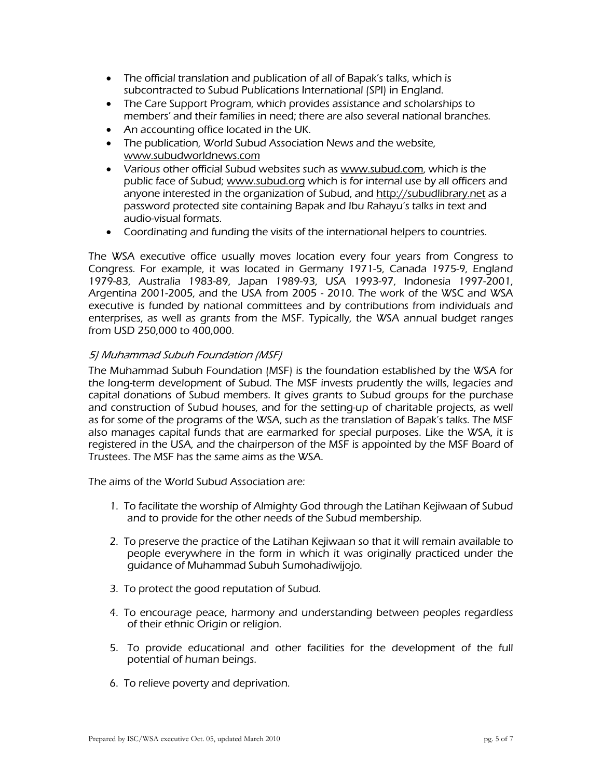- The official translation and publication of all of Bapak's talks, which is subcontracted to Subud Publications International (SPI) in England.
- The Care Support Program, which provides assistance and scholarships to members' and their families in need; there are also several national branches.
- An accounting office located in the UK.
- The publication, World Subud Association News and the website, [www.subudworldnews.com](http://www.subudworldnews.com/)
- Various other official Subud websites such as [www.subud.com,](http://www.subud.com/) which is the public face of Subud; [www.subud.org](http://www.subud.org/) which is for internal use by all officers and anyone interested in the organization of Subud, and [http://subudlibrary.net](http://subudlibrary.net/) as a password protected site containing Bapak and Ibu Rahayu's talks in text and audio-visual formats.
- Coordinating and funding the visits of the international helpers to countries.

The WSA executive office usually moves location every four years from Congress to Congress. For example, it was located in Germany 1971-5, Canada 1975-9, England 1979-83, Australia 1983-89, Japan 1989-93, USA 1993-97, Indonesia 1997-2001, Argentina 2001-2005, and the USA from 2005 - 2010. The work of the WSC and WSA executive is funded by national committees and by contributions from individuals and enterprises, as well as grants from the MSF. Typically, the WSA annual budget ranges from USD 250,000 to 400,000.

### 5) Muhammad Subuh Foundation (MSF)

The Muhammad Subuh Foundation (MSF) is the foundation established by the WSA for the long-term development of Subud. The MSF invests prudently the wills, legacies and capital donations of Subud members. It gives grants to Subud groups for the purchase and construction of Subud houses, and for the setting-up of charitable projects, as well as for some of the programs of the WSA, such as the translation of Bapak's talks. The MSF also manages capital funds that are earmarked for special purposes. Like the WSA, it is registered in the USA, and the chairperson of the MSF is appointed by the MSF Board of Trustees. The MSF has the same aims as the WSA.

The aims of the World Subud Association are:

- 1. To facilitate the worship of Almighty God through the Latihan Kejiwaan of Subud and to provide for the other needs of the Subud membership.
- 2. To preserve the practice of the Latihan Kejiwaan so that it will remain available to people everywhere in the form in which it was originally practiced under the guidance of Muhammad Subuh Sumohadiwijojo.
- 3. To protect the good reputation of Subud.
- 4. To encourage peace, harmony and understanding between peoples regardless of their ethnic Origin or religion.
- 5. To provide educational and other facilities for the development of the full potential of human beings.
- 6. To relieve poverty and deprivation.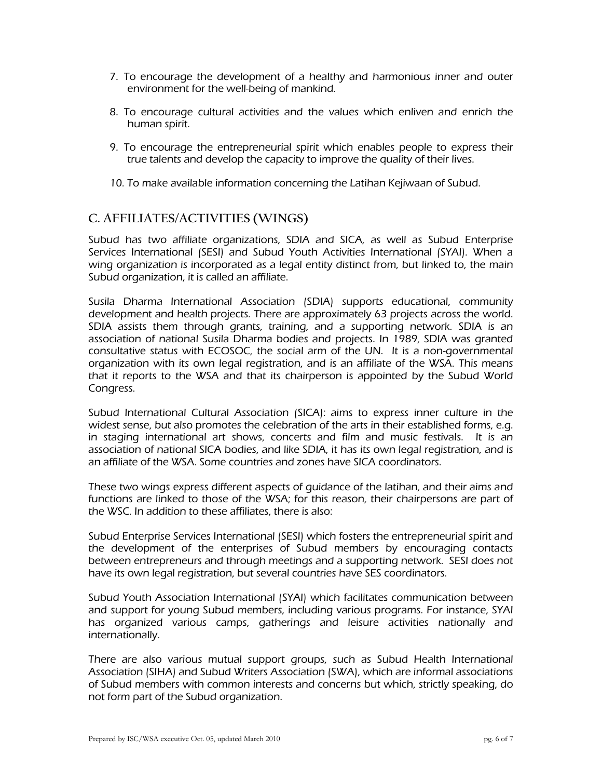- 7. To encourage the development of a healthy and harmonious inner and outer environment for the well-being of mankind.
- 8. To encourage cultural activities and the values which enliven and enrich the human spirit.
- 9. To encourage the entrepreneurial spirit which enables people to express their true talents and develop the capacity to improve the quality of their lives.
- 10. To make available information concerning the Latihan Kejiwaan of Subud.

# **C. AFFILIATES/ACTIVITIES (WINGS)**

Subud has two affiliate organizations, SDIA and SICA, as well as Subud Enterprise Services International (SESI) and Subud Youth Activities International (SYAI). When a wing organization is incorporated as a legal entity distinct from, but linked to, the main Subud organization, it is called an affiliate.

Susila Dharma International Association (SDIA) supports educational, community development and health projects. There are approximately 63 projects across the world. SDIA assists them through grants, training, and a supporting network. SDIA is an association of national Susila Dharma bodies and projects. In 1989, SDIA was granted consultative status with ECOSOC, the social arm of the UN. It is a non-governmental organization with its own legal registration, and is an affiliate of the WSA. This means that it reports to the WSA and that its chairperson is appointed by the Subud World Congress.

Subud International Cultural Association (SICA): aims to express inner culture in the widest sense, but also promotes the celebration of the arts in their established forms, e.g. in staging international art shows, concerts and film and music festivals. It is an association of national SICA bodies, and like SDIA, it has its own legal registration, and is an affiliate of the WSA. Some countries and zones have SICA coordinators.

These two wings express different aspects of guidance of the latihan, and their aims and functions are linked to those of the WSA; for this reason, their chairpersons are part of the WSC. In addition to these affiliates, there is also:

Subud Enterprise Services International (SESI) which fosters the entrepreneurial spirit and the development of the enterprises of Subud members by encouraging contacts between entrepreneurs and through meetings and a supporting network. SESI does not have its own legal registration, but several countries have SES coordinators.

Subud Youth Association International (SYAI) which facilitates communication between and support for young Subud members, including various programs. For instance, SYAI has organized various camps, gatherings and leisure activities nationally and internationally.

There are also various mutual support groups, such as Subud Health International Association (SIHA) and Subud Writers Association (SWA), which are informal associations of Subud members with common interests and concerns but which, strictly speaking, do not form part of the Subud organization.